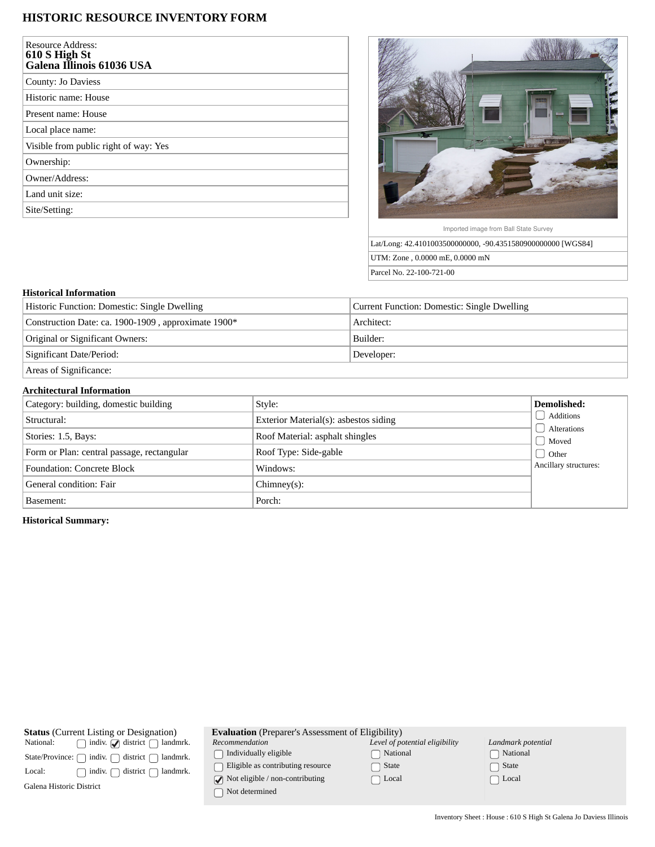# **HISTORIC RESOURCE INVENTORY FORM**

| Resource Address:<br>610 S High St<br>Galena Illinois 61036 USA |
|-----------------------------------------------------------------|
| County: Jo Daviess                                              |
| Historic name: House                                            |
| Present name: House                                             |
| Local place name:                                               |
| Visible from public right of way: Yes                           |
| Ownership:                                                      |
| Owner/Address:                                                  |
| Land unit size:                                                 |
| Site/Setting:                                                   |



Imported image from Ball State Survey

Lat/Long: 42.4101003500000000, -90.4351580900000000 [WGS84] UTM: Zone , 0.0000 mE, 0.0000 mN Parcel No. 22-100-721-00

## **Historical Information**

| Historic Function: Domestic: Single Dwelling        | Current Function: Domestic: Single Dwelling |
|-----------------------------------------------------|---------------------------------------------|
| Construction Date: ca. 1900-1909, approximate 1900* | Architect:                                  |
| Original or Significant Owners:                     | Builder:                                    |
| Significant Date/Period:                            | Developer:                                  |
| Areas of Significance:                              |                                             |

### **Architectural Information**

| Category: building, domestic building      | Style:                                | Demolished:              |
|--------------------------------------------|---------------------------------------|--------------------------|
| Structural:                                | Exterior Material(s): asbestos siding | Additions<br>Alterations |
| Stories: 1.5, Bays:                        | Roof Material: asphalt shingles       | Moved                    |
| Form or Plan: central passage, rectangular | Roof Type: Side-gable                 | <b>Other</b>             |
| <b>Foundation: Concrete Block</b>          | Windows:                              | Ancillary structures:    |
| General condition: Fair                    | $Chimney(s)$ :                        |                          |
| Basement:                                  | Porch:                                |                          |

## **Historical Summary:**

| <b>Status</b> (Current Listing or Designation)                              | <b>Evaluation</b> (Preparer's Assessment of Eligibility)               |                                |                    |  |
|-----------------------------------------------------------------------------|------------------------------------------------------------------------|--------------------------------|--------------------|--|
| indiv. $\sqrt{\phantom{a}}$ district $\phantom{a}$<br>National:<br>landmrk. | Recommendation                                                         | Level of potential eligibility | Landmark potential |  |
| indiv.<br>district<br>landmrk.<br>State/Province:                           | Individually eligible                                                  | National                       | National           |  |
| district<br>landmrk.<br>indiv.<br>Local:                                    | Eligible as contributing resource                                      | State                          | State              |  |
| Galena Historic District                                                    | $\sqrt{\phantom{a}}$ Not eligible / non-contributing<br>Not determined | ∩ Local                        | Local              |  |